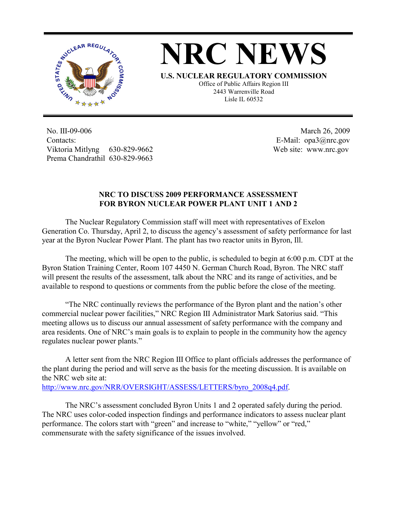



**U.S. NUCLEAR REGULATORY COMMISSION** Office of Public Affairs Region III

2443 Warrenville Road Lisle IL 60532

No. III-09-006 Contacts: Viktoria Mitlyng 630-829-9662 Prema Chandrathil 630-829-9663

 March 26, 2009 E-Mail: opa3@nrc.gov Web site: www.nrc.gov

## **NRC TO DISCUSS 2009 PERFORMANCE ASSESSMENT FOR BYRON NUCLEAR POWER PLANT UNIT 1 AND 2**

 The Nuclear Regulatory Commission staff will meet with representatives of Exelon Generation Co. Thursday, April 2, to discuss the agency's assessment of safety performance for last year at the Byron Nuclear Power Plant. The plant has two reactor units in Byron, Ill.

 The meeting, which will be open to the public, is scheduled to begin at 6:00 p.m. CDT at the Byron Station Training Center, Room 107 4450 N. German Church Road, Byron. The NRC staff will present the results of the assessment, talk about the NRC and its range of activities, and be available to respond to questions or comments from the public before the close of the meeting.

 "The NRC continually reviews the performance of the Byron plant and the nation's other commercial nuclear power facilities," NRC Region III Administrator Mark Satorius said. "This meeting allows us to discuss our annual assessment of safety performance with the company and area residents. One of NRC's main goals is to explain to people in the community how the agency regulates nuclear power plants."

 A letter sent from the NRC Region III Office to plant officials addresses the performance of the plant during the period and will serve as the basis for the meeting discussion. It is available on the NRC web site at:

http://www.nrc.gov/NRR/OVERSIGHT/ASSESS/LETTERS/byro\_2008q4.pdf.

 The NRC's assessment concluded Byron Units 1 and 2 operated safely during the period. The NRC uses color-coded inspection findings and performance indicators to assess nuclear plant performance. The colors start with "green" and increase to "white," "yellow" or "red," commensurate with the safety significance of the issues involved.